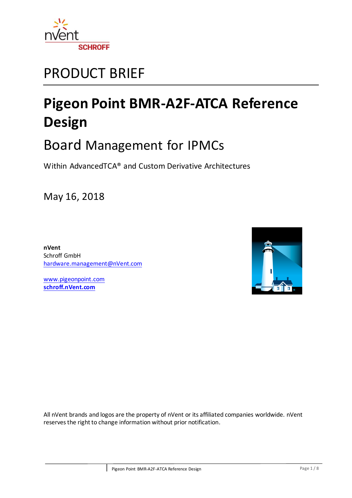

## PRODUCT BRIEF

# **Pigeon Point BMR-A2F-ATCA Reference Design**

## Board Management for IPMCs

Within AdvancedTCA® and Custom Derivative Architectures

May 16, 2018

**nVent** Schroff GmbH [hardware.management@nVent.com](mailto:hardware.management@nVent.com)

[www.pigeonpoint.com](http://www.pigeonpoint.com/) **[schroff.nVent.com](https://schroff.nvent.com/)**



All nVent brands and logos are the property of nVent or its affiliated companies worldwide. nVent reserves the right to change information without prior notification.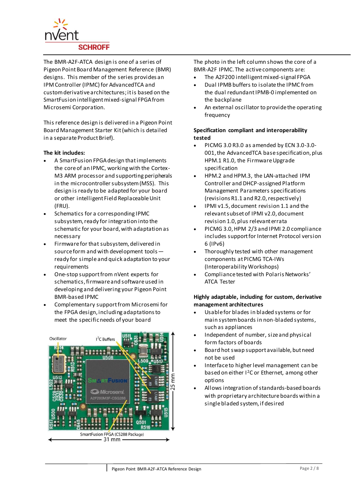

The BMR-A2F-ATCA design is one of a series of Pigeon Point Board Management Reference (BMR) designs. This member of the series provides an IPM Controller (IPMC) for AdvancedTCA and custom derivative architectures; it is based on the SmartFusion intelligent mixed-signal FPGA from Microsemi Corporation.

This reference design is delivered in a Pigeon Point Board Management Starter Kit (which is detailed in a separate Product Brief).

#### **The kit includes:**

- A SmartFusion FPGA design that implements the core of an IPMC, working with the Cortex-M3 ARM processor and supporting peripherals in the microcontroller subsystem (MSS). This design is ready to be adapted for your board or other intelligent Field Replaceable Unit (FRU).
- Schematics for a corresponding IPMC subsystem, ready for integration into the schematic for your board, with adaptation as necessary
- Firmware for that subsystem, delivered in source form and with development tools ready for simple and quick adaptation to your requirements
- One-stop support from nVent experts for schematics, firmware and software used in developing and delivering your Pigeon Point BMR-based IPMC
- Complementary support from Microsemi for the FPGA design, including adaptations to meet the specific needs of your board



The photo in the left column shows the core of a BMR-A2F IPMC. The active components are:

- The A2F200 intelligent mixed-signal FPGA
- Dual IPMB buffers to isolate the IPMC from the dual redundant IPMB-0 implemented on the backplane
- An external oscillator to provide the operating frequency

#### **Specification compliant and interoperability tested**

- PICMG 3.0 R3.0 as amended by ECN 3.0-3.0- 001, the AdvancedTCA base specification, plus HPM.1 R1.0, the Firmware Upgrade specification
- HPM.2 and HPM.3, the LAN-attached IPM Controller and DHCP-assigned Platform Management Parameters specifications (revisions R1.1 and R2.0, respectively)
- IPMI v1.5, document revision 1.1 and the relevant subset of IPMI v2.0, document revision 1.0, plus relevant errata
- PICMG 3.0, HPM 2/3 and IPMI 2.0 compliance includes support for Internet Protocol version 6 (IPv6)
- Thoroughly tested with other management components at PICMG TCA-IWs (Interoperability Workshops)
- Compliance tested with Polaris Networks' ATCA Tester

#### **Highly adaptable, including for custom, derivative management architectures**

- Usable for blades in bladed systems or for main system boards in non-bladed systems, such as appliances
- Independent of number, size and physical form factors of boards
- Board hot swap support available, but need not be used
- Interface to higher level management can be based on either I<sup>2</sup>C or Ethernet, among other options
- Allows integration of standards-based boards with proprietary architecture boards within a single bladed system, if desired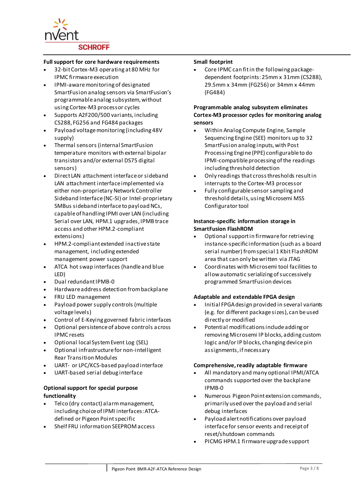

#### **Full support for core hardware requirements**

- 32-bit Cortex-M3 operating at 80 MHz for IPMC firmware execution
- IPMI-aware monitoring of designated SmartFusion analog sensors via SmartFusion's programmable analog subsystem, without using Cortex-M3 processor cycles
- Supports A2F200/500 variants, including CS288, FG256 and FG484 packages
- Payload voltage monitoring (including 48V supply)
- Thermal sensors (internal SmartFusion temperature monitors with external bipolar transistors and/or external DS75 digital sensors)
- Direct LAN attachment interface or sideband LAN attachment interface implemented via either non-proprietary Network Controller Sideband Interface (NC-SI) or Intel-proprietary SMBus sideband interface to payload NCs, capable of handling IPMI over LAN (including Serial over LAN, HPM.1 upgrades, IPMB trace access and other HPM.2-compliant extensions)
- HPM.2-compliant extended inactive state management, including extended management power support
- ATCA hot swap interfaces (handle and blue LED)
- Dual redundant IPMB-0
- Hardware address detection from backplane
- FRU LED management
- Payload power supply controls (multiple voltage levels)
- Control of E-Keying governed fabric interfaces
- Optional persistence of above controls across IPMC resets
- Optional local System Event Log (SEL)
- Optional infrastructure for non-intelligent Rear Transition Modules
- UART- or LPC/KCS-based payload interface
- UART-based serial debug interface

#### **Optional support for special purpose functionality**

- Telco (dry contact) alarm management, including choice of IPMI interfaces: ATCAdefined or Pigeon Point specific
- Shelf FRU information SEEPROM access

#### **Small footprint**

 Core IPMC can fit in the following packagedependent footprints: 25mm x 31mm (CS288), 29.5mm x 34mm (FG256) or 34mm x 44mm (FG484)

#### **Programmable analog subsystem eliminates Cortex-M3 processor cycles for monitoring analog sensors**

- Within Analog Compute Engine, Sample Sequencing Engine (SEE) monitors up to 32 SmartFusion analog inputs, with Post Processing Engine (PPE) configurable to do IPMI-compatible processing of the readings including threshold detection
- Only readings that cross thresholds result in interrupts to the Cortex-M3 processor
- Fully configurable sensor sampling and threshold details, using Microsemi MSS Configurator tool

#### **Instance-specific information storage in SmartFusion FlashROM**

- Optional support in firmware for retrieving instance-specific information (such as a board serial number) from special 1 Kbit FlashROM area that can only be written via JTAG
- Coordinates with Microsemi tool facilities to allow automatic serializing of successively programmed SmartFusion devices

#### **Adaptable and extendable FPGA design**

- Initial FPGA design provided in several variants (e.g. for different package sizes), can be used directly or modified
- Potential modifications include adding or removing Microsemi IP blocks, adding custom logic and/or IP blocks, changing device pin assignments, if necessary

#### **Comprehensive, readily adaptable firmware**

- All mandatory and many optional IPMI/ATCA commands supported over the backplane IPMB-0
- Numerous Pigeon Point extension commands, primarily used over the payload and serial debug interfaces
- Payload alert notifications over payload interface for sensor events and receipt of reset/shutdown commands
- PICMG HPM.1 firmware upgrade support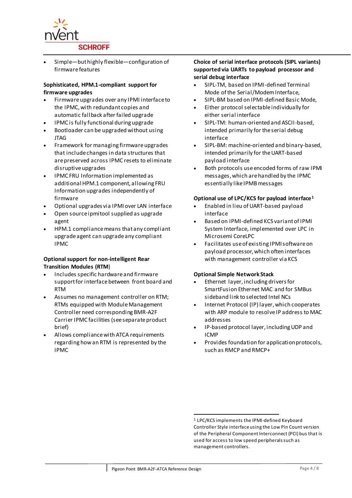

 Simple—but highly flexible—configuration of firmware features

#### **Sophisticated, HPM.1-compliant support for firmware upgrades**

- Firmware upgrades over any IPMI interface to the IPMC, with redundant copies and automatic fallback after failed upgrade
- IPMC is fully functional during upgrade
- Bootloader can be upgraded without using JTAG
- Framework for managing firmware upgrades that include changes in data structures that are preserved across IPMC resets to eliminate disruptive upgrades
- IPMC FRU Information implemented as additional HPM.1 component, allowing FRU Information upgrades independently of firmware
- Optional upgrades via IPMI over LAN interface
- Open source ipmitool supplied as upgrade agent
- HPM.1 compliance means that any compliant upgrade agent can upgrade any compliant IPMC

#### **Optional support for non-intelligent Rear Transition Modules (RTM**)

- $\bullet$  Includes specific hardware and firmware support for interface between front board and RTM
- Assumes no management controller on RTM; RTMs equipped with Module Management Controller need corresponding BMR-A2F Carrier IPMC facilities (see separate product brief)
- Allows compliance with ATCA requirements regarding how an RTM is represented by the IPMC

#### **Choice of serial interface protocols (SIPL variants) supported via UARTs to payload processor and serial debug interface**

- SIPL-TM, based on IPMI-defined Terminal Mode of the Serial/Modem Interface,
- SIPL-BM based on IPMI-defined Basic Mode,
- Either protocol selectable individually for either serial interface
- SIPL-TM: human-oriented and ASCII-based, intended primarily for the serial debug interface
- SIPL-BM: machine-oriented and binary-based, intended primarily for the UART-based payload interface
- Both protocols use encoded forms of raw IPMI messages, which are handled by the IPMC essentially like IPMB messages

#### **Optional use of LPC/KCS for payload interface<sup>1</sup>**

- Enabled in lieu of UART-based payload interface
- Based on IPMI-defined KCS variant of IPMI System Interface, implemented over LPC in Microsemi CoreLPC
- Facilitates use of existing IPMI software on payload processor, which often interfaces with management controller via KCS

#### **Optional Simple Network Stack**

- Ethernet layer, including drivers for SmartFusion Ethernet MAC and for SMBus sideband link to selected Intel NCs
- Internet Protocol (IP) layer, which cooperates with ARP module to resolve IP address to MAC addresses
- IP-based protocol layer, including UDP and ICMP
- Provides foundation for application protocols, such as RMCP and RMCP+

<sup>-</sup><sup>1</sup> LPC/KCS implements the IPMI-defined Keyboard Controller Style interface using the Low Pin Count version of the Peripheral Component Interconnect (PCI) bus that is used for access to low speed peripherals such as management controllers.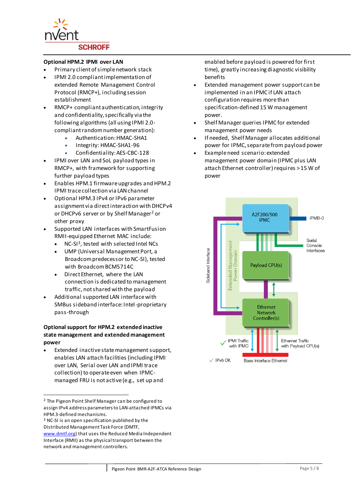

#### **Optional HPM.2 IPMI over LAN**

- Primary client of simple network stack
- IPMI 2.0 compliant implementation of extended Remote Management Control Protocol (RMCP+), including session establishment
- RMCP+ compliant authentication, integrity and confidentiality, specifically via the following algorithms (all using IPMI 2.0 compliant random number generation):
	- Authentication: HMAC-SHA1
	- Integrity: HMAC-SHA1-96
	- Confidentiality: AES-CBC-128
- IPMI over LAN and SoL payload types in RMCP+, with framework for supporting further payload types
- Enables HPM.1 firmware upgrades and HPM.2 IPMI trace collection via LAN channel
- Optional HPM.3 IPv4 or IPv6 parameter assignment via direct interaction with DHCPv4 or DHCPv6 server or by Shelf Manager<sup>2</sup> or other proxy
- Supported LAN interfaces with SmartFusion RMII-equipped Ethernet MAC include:
	- NC-SI<sup>3</sup>, tested with selected Intel NCs
	- UMP (Universal Management Port, a Broadcom predecessor to NC-SI), tested with Broadcom BCM5714C
	- Direct Ethernet, where the LAN connection is dedicated to management traffic, not shared with the payload
- Additional supported LAN interface with SMBus sideband interface: Intel-proprietary pass-through

#### **Optional support for HPM.2 extended inactive state management and extended management power**

 Extended inactive state management support, enables LAN attach facilities (including IPMI over LAN, Serial over LAN and IPMI trace collection) to operate even when IPMCmanaged FRU is not active (e.g., set up and

l

enabled before payload is powered for first time), greatly increasing diagnostic visibility benefits

- Extended management power support can be implemented in an IPMC if LAN attach configuration requires more than specification-defined 15 W management power.
- Shelf Manager queries IPMC for extended management power needs
- If needed, Shelf Manager allocates additional power for IPMC, separate from payload power
- Example need scenario: extended management power domain (IPMC plus LAN attach Ethernet controller) requires > 15 W of power



<sup>2</sup> The Pigeon Point Shelf Manager can be configured to assign IPv4 address parameters to LAN-attached IPMCs via HPM.3-defined mechanisms.

<sup>3</sup> NC-SI is an open specification published by the Distributed Management Task Force (DMTF, [www.dmtf.org\)](http://www.dmtf.org/) that uses the Reduced Media Independent Interface (RMII) as the physical transport between the network and management controllers.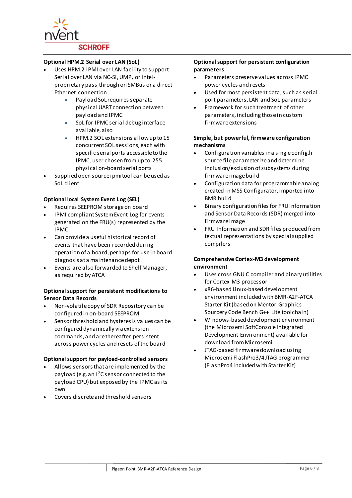

#### **Optional HPM.2 Serial over LAN (SoL)**

- Uses HPM.2 IPMI over LAN facility to support Serial over LAN via NC-SI, UMP, or Intelproprietary pass-through on SMBus or a direct Ethernet connection
	- Payload SoL requires separate physical UART connection between payload and IPMC
	- SoL for IPMC serial debug interface available, also
	- HPM.2 SOL extensions allow up to 15 concurrent SOL sessions, each with specific serial ports accessible to the IPMC, user chosen from up to 255 physical on-board serial ports
- Supplied open source ipmitool can be used as SoL client

#### **Optional local System Event Log (SEL)**

- Requires SEEPROM storage on board
- IPMI compliant System Event Log for events generated on the FRU(s) represented by the IPMC
- Can provide a useful historical record of events that have been recorded during operation of a board, perhaps for use in board diagnosis at a maintenance depot
- Events are also forwarded to Shelf Manager, as required by ATCA

#### **Optional support for persistent modifications to Sensor Data Records**

- Non-volatile copy of SDR Repository can be configured in on-board SEEPROM
- Sensor threshold and hysteresis values can be configured dynamically via extension commands, and are thereafter persistent across power cycles and resets of the board

#### **Optional support for payload-controlled sensors**

- Allows sensors that are implemented by the payload (e.g. an I<sup>2</sup>C sensor connected to the payload CPU) but exposed by the IPMC as its own
- Covers discrete and threshold sensors

#### **Optional support for persistent configuration parameters**

- Parameters preserve values across IPMC power cycles and resets
- Used for most persistent data, such as serial port parameters, LAN and SoL parameters
- Framework for such treatment of other parameters, including those in custom firmware extensions

#### **Simple, but powerful, firmware configuration mechanisms**

- Configuration variables in a single config.h source file parameterize and determine inclusion/exclusion of subsystems during firmware image build
- Configuration data for programmable analog created in MSS Configurator, imported into BMR build
- Binary configuration files for FRU Information and Sensor Data Records (SDR) merged into firmware image
- FRU Information and SDR files produced from textual representations by special supplied compilers

#### **Comprehensive Cortex-M3 development environment**

- Uses cross GNU C compiler and binary utilities for Cortex-M3 processor
- x86-based Linux-based development environment included with BMR-A2F-ATCA Starter Kit (based on Mentor Graphics Sourcery Code Bench G++ Lite toolchain)
- Windows-based development environment (the Microsemi SoftConsole Integrated Development Environment) available for download from Microsemi
- JTAG-based firmware download using Microsemi FlashPro3/4 JTAG programmer (FlashPro4 included with Starter Kit)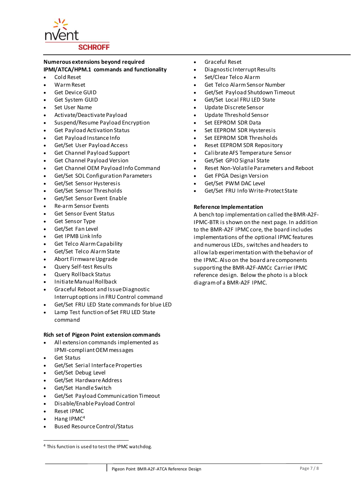

### **Numerous extensions beyond required**

**IPMI/ATCA/HPM.1 commands and functionality**

- Cold Reset
- Warm Reset
- Get Device GUID
- Get System GUID
- Set User Name
- Activate/Deactivate Payload
- Suspend/Resume Payload Encryption
- Get Payload Activation Status
- Get Payload Instance Info
- Get/Set User Payload Access
- Get Channel Payload Support
- Get Channel Payload Version
- Get Channel OEM Payload Info Command
- Get/Set SOL Configuration Parameters
- Get/Set Sensor Hysteresis
- Get/Set Sensor Thresholds
- Get/Set Sensor Event Enable
- Re-arm Sensor Events
- Get Sensor Event Status
- Get Sensor Type
- Get/Set Fan Level
- Get IPMB Link Info
- Get Telco Alarm Capability
- Get/Set Telco Alarm State
- Abort Firmware Upgrade
- Query Self-test Results
- Query Rollback Status
- Initiate Manual Rollback
- Graceful Reboot and Issue Diagnostic Interrupt options in FRU Control command
- Get/Set FRU LED State commands for blue LED
- Lamp Test function of Set FRU LED State command

#### **Rich set of Pigeon Point extension commands**

- All extension commands implemented as IPMI-compliant OEM messages
- Get Status
- Get/Set Serial Interface Properties
- Get/Set Debug Level
- Get/Set Hardware Address
- Get/Set Handle Switch
- Get/Set Payload Communication Timeout
- Disable/Enable Payload Control
- Reset IPMC

l

- Hang IPMC<sup>4</sup>
- Bused Resource Control/Status
- Graceful Reset
- Diagnostic Interrupt Results
- Set/Clear Telco Alarm
- Get Telco Alarm Sensor Number
- Get/Set Payload Shutdown Timeout
- Get/Set Local FRU LED State
- Update Discrete Sensor
- Update Threshold Sensor
- Set EEPROM SDR Data
- Set EEPROM SDR Hysteresis
- Set EEPROM SDR Thresholds
- Reset EEPROM SDR Repository
- Calibrate AFS Temperature Sensor
- Get/Set GPIO Signal State
- Reset Non-Volatile Parameters and Reboot
- Get FPGA Design Version
- Get/Set PWM DAC Level
- Get/Set FRU Info Write-Protect State

#### **Reference Implementation**

A bench top implementation called the BMR-A2F-IPMC-BTR is shown on the next page. In addition to the BMR-A2F IPMC core, the board includes implementations of the optional IPMC features and numerous LEDs, switches and headers to allow lab experimentation with the behavior of the IPMC. Also on the board are components supporting the BMR-A2F-AMCc Carrier IPMC reference design. Below the photo is a block diagram of a BMR-A2F IPMC.

<sup>4</sup> This function is used to test the IPMC watchdog.